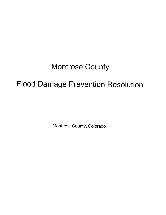## Montrose County

# Flood Damage Prevention Resolution

Montrose County, Colorado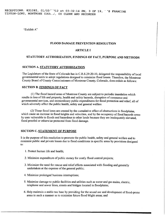"Exhibit A"

#### **FLOOD DAMAGE PREVENTION RESOLUTION**

#### **ARTICL E I**

#### **STATUTORY AUTHORIZATION, FINDINGS OF FACT, PURPOSE AND METHODS**

#### **SECTION A. STATUTORY AUTHORIZATION**

The Legislature of the State of Colorado has in C.R.S.29-20-10, delegated the responsibility of local governmental units to adopt regulations designed to minimize flood losses. Therefore, the Montrose County Board of County Commissioners of Montrose County, Colorado, does ordain as follows:

#### **SECTION B. FINDINGS OF FACT**

(1) The flood hazard areas of Montrose County are subject to periodic inundation which results in loss of life and property, health and safety hazards, disruption of commerce and governmental services, and extraordinary public expenditures for flood protection and relief, all of which adversely affect the public health, safety and general welfare.

(2) These flood loses are created by the cumulative effect of obstructions in floodplains, which cause an increase in flood heights and velocities, and by the occupancy of flood hazards areas by uses vulnerable to floods and hazardous to other lands because they are inadequately elevated, flood proofed or otherwise protected from flood damage.

#### **SECTION C. STATEMENT OF PURPOSE**

It is the purpose of this resolution to promote the public health, safety and general welfare and to minimize public and private losses due to flood conditions in specific areas by provisions designed to:

- 1. Protect human life and health;
- 2. Minimize expenditure of public money for costly flood control projects;
- 3. Minimize the need for rescue and relief efforts associated with flooding and generally undertaken at the expense of the general public;
- 4. Minimize prolonged business interruptions;
- 5. Minimize damage to public facilities and utilities such as water and gas mains, electric, telephone and sewer lines, streets and bridges located in floodplains;
- 6. Help maintain a stable tax base by providing for the sound use and development of flood-prone areas in such a manner as to minimize future flood blight areas; and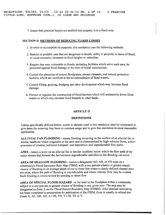7. Insure that potential buyers are notified that property is in a flood area.

#### **SECTION D. METHODS OF REDUCING FLOOD LOSSES**

- 1. In order to accomplish its purposes, this resolution uses the following methods:
- 2. Restrict or prohibit uses that are dangerous to health, safety or property in times of flood, or cause excessive increases in flood heights or velocities;
- 3. Require that uses vulnerable to floods, including facilities which serve such uses, be protected against flood damage at the time of initial construction;
- 4. Control the alteration of natural floodplains, stream channels, and natural protective barriers, which are involved in the accommodation of flood waters;
- 5. Control filling, grading, dredging and other development which may increase flood damage;
- 6. Prevent or regulate the construction of flood barriers which will unnaturally divert flood waters or which may increase flood hazards to other lands.

#### **ARTICL E II**

#### **DEFINITIONS**

Unless specifically defined below, words or phrases used in this resolution shall be interpreted to give them the meaning they have in common usage and to give this resolution its most reasonable application.

ALLUVIAL FAN FLOODING - means flooding occurring on the surface of an alluvial fan or similar landform which originates at the apex and is characterized by high-velocity flows; active processes of erosion, sediment transport, and deposition; and unpredictable flow paths.

**APEX** - means a point on an alluvial fan or similar landform below which the flow path of the major stream that formed the fan becomes unpredictable and alluvial fan flooding can occur.

**AREA OF SHALLOW FLOODING** - means a designated AO, AH, or VO zone on a community's Flood Insurance Rate Map (FIRM) with a one percent chance or greater annual chance of flooding to an average depth of one to three feet where a clearly defined channel does not exist, where the path of flooding is unpredictable and where velocity flow may be evident. Such flooding is characterized by ponding or sheet flow.

**AREA OF SPECIAL FLOOD HAZARD** - is the land in the floodplain within a community subject to a one percent or greater chance of flooding in any given year. The area may be designated as Zone A on the Flood Hazard Boundary Map (FHBM). After detailed ratemaking has been completed in preparation for publication of the FIRM, Zone A usually is refined into Zones A, AE, AH, AO, A1-99, VO, VI-30, VE or V.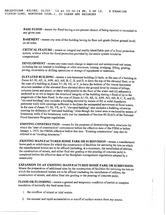**BASE FLOOD** - means the flood having a one percent chance of being equaled or exceeded in any given year.

**BASEMENT** - means any area of the building having its floor sub-grade (below ground level) on all sides.

**CRITICA L FEATUR E** - means an integral and readily identifiable part of a flood protection system, without which the flood protection provided by the entire system would be compromised.

**DEVELOPMENT** - means any man-made change in improved and unimproved real estate, including but not limited to buildings or other structures, mining, dredging, filling, grading,' paving, excavation or drilling operations or storage of equipment or materials.

**ELEVATED BUILDING** - means a non-basement building (i) built, in the case of a building in Zones A1-30, AE, A, A99, AO, AH, B, C, X, and D, to have the top of the elevated floor, or in the case of a building in Zones V1-30, VE, or V, to have the bottom of the lowest horizontal structure member of the elevated floor elevated above the ground level by means of pilings, columns (posts and piers), or shear walls parallel to the floor of the water and (ii) adequately anchored so as not to impair the structural integrity of the building during a flood of up to the magnitude of the base flood. In the case of Zones Al-30, AE, A, A99, AO, AH, B, C, X, and D, "elevated building" also includes a building elevated by means of fill or solid foundation perimeter walls with openings sufficient to facilitate the unimpeded movement of flood waters In the case of Zones V1-30, VE, or V, "elevated building" also includes a building otherwise meeting the definition of "elevated building," even though the lower area is enclosed by means of breakaway walls if the breakaway walls met the standards of Section  $60.3(e)(5)$  of the National Flood Insurance Program regulations.

**EXISTING CONSTRUCTION** - means for the purposes of determining rates, structures for which the "start of construction" commenced before the effective date of the FIRM or before January 1, 1975, for FIRMs effective before that date. "Existing construction" may also be referred to as "existing structures."

**EXISTING MANUFACTURED HOME PARK OR SUBDIVISION** - means a manufactured home park or subdivision for which the construction of facilities for servicing the lots on which the manufactured homes are to be affixed (including, at a minimum, the installation of utilities, the construction of streets, and either final site grading or the pouring of concrete pads) is completed before the effective date of the floodplain management regulations adopted by a community.

**EXPANSION TO AN EXISTING MANUFACTURED HOME PARK OR SUBDIVISION-**Means the preparation of additional sites by the construction of facilities for servicing the lots on which the manufactured homes are to be affixed (including the installation of utilities, the construction of streets, and either final site grading or the pouring of concrete pads).

**FLOOD OR FLOODING** - means a general and temporary condition of partial or complete inundation of normally dry land areas from:

- 1. the overflow of inland or tidal waters.
- 2. the unusual and rapid accumulation or runoff of surface waters from any source.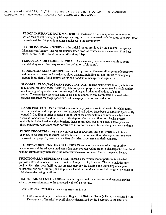**FLOOD INSURANCE RATE MAP (FIRM)** - means an official map of a community, on which the Federal Emergency Management Agency has delineated both the areas of special flood hazards and the risk premium zones applicable to the community.

**FLOOD INSURANCE STUDY** - is the official report provided by the Federal Emergency Management Agency. The report contains flood profiles, water surface elevation of the base flood, as well as the Flood Boundary-Floodway Map.

**FLOODPLAIN OR FLOOD-PRONE AREA** - means any land area susceptible to being inundated by water from any source (see definition of flooding).

**FLOODPLAIN MANAGEMENT** - means the operation of an overall program of corrective and preventive measures for reducing flood damage, including but not limited to emergency preparedness plans, flood control works and floodplain management regulations.

**FLOODPLAIN MANAGEMENT REGULATIONS** - means zoning resolutions, subdivision regulations, building codes, health regulations, special purpose resolution (such as a floodplain resolution, grading and erosion control regulations) and other applications of police power. The term describes such state or local regulations, in any combination thereof, which provide standards for the purpose of flood damage prevention and reduction.

**FLOOD PROTECTION SYSTEM** - means those physical structural works for which funds have been authorized, appropriated, and expended and which have been constructed specifically to modify flooding in order to reduce the extent of the areas within a community subject to a "special flood hazard" and the extent of the depths of associated flooding. Such a system typically includes hurricane tidal barriers, dams, reservoirs, levees or dikes. These specialized flood modifying works are those constructed in conformance with sound engineering standards.

**FLOOD PROOFING** - means any combination of structural and non-structural additions, changes, or adjustments to structures which reduce or eliminate flood damage to real estate or improved real property, water and sanitary facilities, structures and their contents.

FLOODWAY (REGULATORY FLOODWAY) - means the channel of a river or other watercourse and the adjacent land areas that must be reserved in order to discharge the base flood without cumulatively increasing the water surface elevation more than a designated height.

**FUNCTIONALLY DEPENDENT USE** - means a use which cannot perform its intended purpose unless it is located or carried out in close proximity to water. The term includes only docking facilities, port facilities that are necessary for the loading and unloading of cargo or passengers, and ship building and ship repair facilities, but does not include long-term storage or related manufacturing facilities.

**HIGHEST ADJACENT GRADE** - means the highest natural elevation of the ground surface prior to construction next to the proposed walls of a structure.

**HISTORIC STRUCTURE** - means any structure that is:

1. Listed individually in the National Register of Historic Places (a listing maintained by the Department of Interior) or preliminarily determined by the Secretary of the Interior as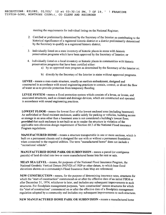meeting the requirements for individual listing on the National Register;

- Certified or preliminarily determined by the Secretary of the Interior as contributing to the historical significance of a registered historic district or a district preliminarily determined by the Secretary to qualify as a registered historic district;
- Individually listed on a state inventory of historic places in states with historic preservation programs which have been approved by the Secretary of Interior; or
- Individually listed on a local inventory or historic places in communities with historic preservation programs that have been certified either:
	- a) by an approved state program as determined by the Secretary of the Interior or;
	- b) directly by the Secretary of the Interior in states without approved programs.

**LEVEE** - means a man-made structure, usually an earthen embankment, designed and constructed in accordance with sound engineering practices to contain, control, or divert the flow of water so as to provide protection from temporary flooding.

**LEVE E SYSTEM** - means a flood protection system which consists of a levee, or levees, and associated structures, such as closure and drainage devices, which are constructed and operated in accordance with sound engineering practices.

**LOWEST FLOOR** - means the lowest floor of the lowest enclosed area (including basement). An unfinished or flood resistant enclosure, usable solely for parking or vehicles, building access or storage in an area other than a basement area is not considered a building's lowest floor; **provided** that such enclosure is not built so as to render the structure in violation of the applicable non-elevation design requirement of Section 60.3 of the National Flood insurance Program regulations.

**MANUFACTURED HOME** - means a structure transportable in one or more sections, which is built on a permanent chassis and is designed for use with or without a permanent foundation when connected to the required utilities. The term "manufactured home" does not include a "recreational vehicle".

**MANUFACTURED HOME PARK OR SUBDIVISION** - means a parcel (or contiguous parcels) of land divided into two or more manufactured home lots for rent or sale.

**MEAN SEA LEVEL - means, for purposes of the National Flood Insurance Program, the** National Geodetic Vertical Datum (NGVD) of 1929 or other datum, to which base flood elevations shown on a community's Flood Insurance Rate Map are referenced.

**NEW CONSTRUCTION** - means, for the purpose of determining insurance rates, structures for which the "start of construction" commenced on or after the effective date of an initial FIRM or after December 31, 1974, whichever is later, and includes any subsequent improvements to such structures. For floodplain management purposes, "new construction" means structures for which the "start of construction" commenced on or after the effective date of a floodplain management regulation adopted by a community and includes any subsequent improvements to such structures.

**NEW MANUFACTURED HOME PARK OR SUBDIVISION** - means a manufactured home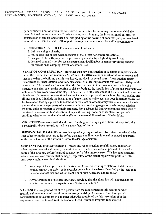park or subdivision for which the construction of facilities for servicing the lots on which the manufactured homes are to be affixed (including at a minimum, the installation of utilities, the construction of streets, and either final site grading or the pouring of concrete pads) is completed on or after the effective date of floodplain management regulations adopted by a community.

#### **RECREATIONAL VEHICLE - means a vehicle which is:**

- 1. built on a single chassis;
- 2. 400 square feet or less when measured at the largest horizontal projections;
- 3. designed to be self-propelled or permanently towable by a light duty truck; and
- 4. designed primarily not for use as a permanent dwelling but as temporary living quarters for recreational, camping, travel, or seasonal use.

**START OF CONSTRUCTION -** (for other than new construction or substantial improvements under the Coastal Barrier Resources Act (Pub. L. 97-348)), includes substantial improvement and means the date the building permit was issued, provided the actual start of construction, repair, reconstruction, rehabilitation, addition, placement, or other improvement was within 180 days of the permit date. The actual start means either the first placement of permanent construction of a structure on a site, such as the pouring of slab or footings, the installation of piles, the construction of columns, or any work beyond the stage of excavation; or the placement of a manufactured home on a foundation. Permanent construction does not include land preparation, such as clearing, grading and filling; nor does it include the installation of streets and/or walkways; nor does it include excavation for basement, footings, piers or foundations or the erection of temporary forms; nor does it include the installation on the property of accessory buildings, such as garages or sheds not occupied as dwelling units or not part of the main structure. For a substantial improvement, the actual start of construction means the first alteration of any wall, ceiling, floor, or other structural part of a building, whether or not that alteration affects the external dimensions of the building.

**STRUCTURE** - means a walled and roofed building, including a gas or liquid storage tank, that is principally above ground, as well as a manufactured home.

**SUBSTANTIAL DAMAGE** - means damage of any origin sustained by a structure whereby the cost of restoring the structure to its before damaged condition would equal or exceed 50 percent of the market value of the structure before the damage occurred.

**SUBSTANTIAL IMPROVEMENT** - means any reconstruction, rehabilitation, addition, or other improvement of a structure, the cost of which equals or exceeds 50 percent of the market value of the structure before "start of construction" of the improvement. This includes structures which have incurred "substantial damage", regardless of the actual repair work performed. The term does not, however, include either:

- 1. Any project for improvement of a structure to correct existing violations of state or local health, sanitary, or safety code specifications which have been identified by the local code enforcement official and which are the minimum necessary conditions or
- 2. Any alteration of a "historic structure", provided that the alteration will not preclude the structure's continued designation as a "historic structure."

**VARIANCE** - is a grant of relief to a person from the requirement of this resolution when specific enforcement would result in unnecessary hardship. A variance, therefore, permits construction or development in a manner otherwise prohibited by this resolution. (For full requirements see Section 60.6 of the National Flood Insurance Program regulations.).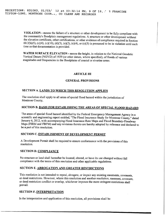**VIOLATION** - means the failure of a structure or other development to be fully compliant with the community's floodplain management regulations. A structure or other development without the elevation certificate, other certifications, or other evidence of compliance required in Section 60.3(b)(5), (c)(4), (c)(10), (d)(3), (e)(2), (e)(4), or (e)(5) is presumed to be in violation until such time as that documentation is provided.

**WATER SURFACE ELEVATION** - means the height, in relation to the National Geodetic Vertical Datum (NGVD) of 1929 (or other datum, where specified), of floods of various magnitudes and frequencies in the floodplains of coastal or riverine areas.

#### **ARTICLE III**

#### **GENERAL PROVISIONS**

#### **SECTION A. LANDS TO WHICH THIS RESOLUTION APPLIES**

The resolution shall apply to all areas of special flood hazard within the jurisdiction of Montrose County,

### **SECTION B. BASIS FOR ESTABLISHING THE AREAS OF SPECIAL FLOOD HAZARD**

The areas of special flood hazard identified by the Federal Emergency Management Agency in a scientific and engineering report entitled, "The Flood Insurance Study for Montrose County," dated January 6, 2012, with accompanying Flood Insurance Rate Maps and Flood Boundary-Floodway Maps (FIRM and FBFM) and any revisions thereto are hereby adopted by reference and declared to be a part of this resolution.

#### **SECTION C. ESTABLISHMENT OF DEVELOPMENT PERMIT**

A Development Permit shall be required to ensure conformance with the provisions of this resolution.

#### **SECTION D. COMPLIANCE**

No structure or land shall hereafter be located, altered, or have its use changed without full compliance with the terms of this resolution and other applicable regulations.

#### **SECTION E. ABROGATION AND GREATER RESTRICTIONS**

This resolution is not intended to repeal, abrogate, or impair any existing easements, covenants, or deed restrictions. However, where this resolution and another resolution, easement, covenant, or deed restriction conflict or overlap, whichever imposes the more stringent restrictions shall prevail.

#### **SECTION F. INTERPRETATION**

In the interpretation and application of this resolution, all provisions shall be: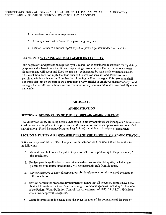- 1. considered as minimum requirements;
- 2. liberally construed in favor of the governing body; and
- 3. deemed neither to limit nor repeal any other powers granted under State statutes.

#### **SECTION G. WARNING AND DISCLAIMER OR LIABILITY**

The degree of flood protection required by this resolution is considered reasonable for regulatory purposes and is based on scientific and engineering considerations. On rare occasions greater floods can and will occur and flood heights may be increased by man-made or natural causes. This resolution does not imply that land outside the areas of special flood hazards or uses permitted within such areas will be free from flooding or flood damages. This resolution shall not create liability on the part of the community or any official or employee thereof for any flood damages that result from reliance on this resolution or any administrative decision lawfully made thereunder.

#### **ARTICLE IV**

#### **ADMINISTRATION**

#### **SECTION A. DESIGNATION OF THE FLOODPLAIN ADMINISTRATOR**

The Montrose County Building Official/Sanitarian is hereby appointed the Floodplain Administrator to administer and implement the provisions of this resolution and other appropriate sections of 44 CFR (National Flood Insurance Program Regulations) pertaining to floodplain management.

#### **SECTION B. DUTIES & RESPONSIBILITIES OF THE FLOODPLAIN ADMINISTRATOR**

Duties and responsibilities of the Floodplain Administrator shall include, but not be limited to, the following:

- 1. Maintain and hold open for public inspection all records pertaining to the provisions of this resolution.
- 2. Review permit application to determine whether proposed building site, including the placement of manufactured homes, will be reasonably safe from flooding.
- 3. Review, approve or deny all applications for development permits required by adoption of this resolution.
- 4. Review permits for proposed development to assure that all necessary permits have been obtained from those Federal, State or local governmental agencies (including Section 404 ofthe Federal Water Pollution Control Act Amendments of 1972, 33 U.S.C. 1334) from which prior approval is required.
- 5. Where interpretation is needed as to the exact location of the boundaries of the areas of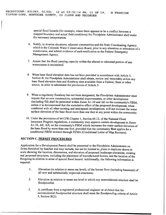special flood hazards (for example, where there appears to be a conflict between a mapped boundary and actual field conditions) the Floodplain Administrator shall make the necessary interpretation.

- 6. Notify, in riverine situations, adjacent communities and the State Coordinating Agency, which is the Colorado Water Conservation Board, prior to any alteration or relocation of a watercourse, and submit evidence of such notification to the Federal Emergency Management Agency.
- 7. Assure that the flood carrying capacity within the altered or relocated portion of any watercourse is maintained.
- 8. When base flood elevation data has not been provided in accordance with Article 3, Section B, the Floodplain Administrator shall obtain, review and reasonably utilize any base flood elevation data and floodway data available from a Federal, State or other source, in order to administer the provisions of Article 5.
- 9. When a regulatory floodway has not been designated, the Floodplain Administrator must require that no new construction, substantial improvements, or other development (including fill) shall be permitted within Zones Al-30 and AE on the community's FIRM, unless it is demonstrated that the cumulative effect of the proposed development, when combined with all other existing and anticipated development, will not increase the water surface elevation of the base flood more than one foot at any point within the community.
- 10. Under the provisions of 44 CFR Chapter 1, Section 65.12, of the National Flood Insurance Program regulations, a community may approve certain development in Zones Al-30, AE, AH, on the community's FIRM which increases the water surface elevation of the base flood by more than one foot, provided that the community first applies for a conditional FIRM revision through FEMA (Conditional Letter of Map Revision).

#### **SECTION C. PERMIT PROCEDURES**

Application for a Development Permit shall be presented to the Floodplain Administrator on forms furnished by him/her and may include, but not be limited to, plans in duplicate drawn to scale showing the location, dimensions, and elevation of proposed landscape alterations, existing and proposed structures, including the placement of manufactured homes, and the location of the foregoing in relation to areas of special flood hazard. Additionally, the following information is required:

- 1. Elevation (in relation to mean sea level), of the lowest floor (including basement) of all new and substantially improved structures;
- 2. Elevation in relation to mean sea level to which any nonresidential structure shall be floodproofed;
- 3. A certificate from a registered professional engineer or architect that the nonresidential floodproofed structure shall meet the floodproofing criteria of Article 5, Section B(2);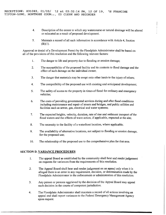- 4. Description of the extent to which any watercourse or natural drainage will be altered or relocated as a result of proposed development.
- 5. Maintain a record of all such information in accordance with Article 4, Section  $(B)(1).$

Approval or denial of a Development Permit by the Floodplain Administrator shall be based on all of the provisions of this resolution and the following relevant factors:

- 1. The danger to life and property due to flooding or erosion damage;
- 2. The susceptibility of the proposed facility and its contents to flood damage and the effect of such damage on the individual owner;
- 3. The danger that materials may be swept onto other lands to the injury of others;
- 4. The compatibility of the proposed use with existing and anticipated development;
- 5. The safety of access to the property in times of flood for ordinary and emergency vehicles;
- 6. The costs of providing governmental services during and after flood conditions including maintenance and repair of streets and bridges, and public utilities and facilities such as sewer, gas, electrical and water systems;
- 7. The expected heights, velocity, duration, rate of rise and sediment transport of the flood waters and the effects of wave action, if applicable, expected at the site;
- 8. The necessity to the facility of a waterfront location, where applicable;
- 9. The availability of alternative locations, not subject to flooding or erosion damage, for the proposed use;
- 10. The relationship of the proposed use to the comprehensive plan for that area.

#### **SECTION D. VARIANCE PROCEDURES**

- 1. The appeal Board as established by the community shall hear and render judgement on requests for variances from the requirements of this resolution.
- 2. The Appeal Board shall hear and render judgement on an appeal only when it is alleged there is an error in any requirement, decision, or determination made by the Floodplain Administrator in the enforcement or administration of this resolution.
- 3. Any person or persons aggrieved by the decision of the Appeal Board may appeal such decision in the courts of competent jurisdiction.
- 4. The Floodplain Administrator shall maintain a record of all actions involving an appeal and shall report variances to the Federal Emergency Management Agency upon request.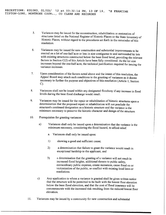- 5. Variances may be issued for the reconstruction, rehabilitation or restoration of structures listed on the National Register of Historic Places or the State Inventory of Historic Places, without regard to the procedures set forth in the remainder of this resolution.
- 6. Variances may be issued for new construction and substantial improvements to be erected on a lot of one-half acre or less in size contiguous to and surrounded by lots with existing structures constructed below the base flood level, providing the relevant factors in Section C(2) of this Article have been fully considered. As the lot size increases beyond the one-half acre, the technical justification required for issuing the variance increases.
- 7. Upon consideration of the factors noted above and the intent of this resolution, the Appeal Board may attach such conditions to the granting of variances as it deems necessary to further the purpose and objectives of this resolution (Article 1, Section C).
- 8. Variances shall not be issued within any designated floodway if any increase in flood levels during the base flood discharge would result.
- 9. Variances may be issued for the repair or rehabilitation of historic structures upon a determination that the proposed repair or rehabilitation will not preclude the structure's continued designation as a historic structure and the variance is the minimum necessary to preserve the historic character and design of the structure.
- 10. Prerequisites for granting variances:
	- a) Variances shall only be issued upon a determination that the variance is the minimum necessary, considering the flood hazard, to afford relief.
		- a. Variances shall only be issued upon:
		- 1) showing a good and sufficient cause;
		- 2) a determination that failure to grant the variance would result in exceptional hardship to the applicant, and
		- 3) a determination that the granting of a variance will not result in increased flood heights, additional threats to public safety, extraordinary public expense, create nuisances, cause fraud on or victimization of the public, or conflict with existing local laws or resolutions.
	- c) Any application to whom a variance is granted shall be given written notice that the structure will be permitted to be built with the lowest floor elevation below the base flood elevation, and that the cost of flood insurance will be commensurate with the increased risk resulting from the reduced lowest floor elevation.
- 11. Variances may be issued by a community for new construction and substantial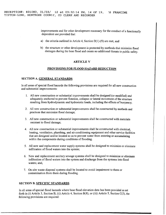improvements and for other development necessary for the conduct of a functionally dependent use provided that:

- a) the criteria outlined in Article 4, Section  $D(1)-(9)$  are met, and
- b) the structure or other development is protected by methods that minimize flood damages during the base flood and create no additional threats to public safety.

#### **ARTICL E V**

#### **PROVISIONS FOR FLOOD HAZARD REDUCTION**

#### **SECTION A. GENERAL STANDARDS**

In all areas of special flood hazards the following provisions are required for all new construction and substantial improvements:

- 1. All new construction or substantial improvements shall be designed (or modified) and adequately anchored to prevent flotation, collapse or lateral movement of the structure resulting from hydrodynamic and hydrostatic loads, including the effects of buoyancy;
- 2. All new construction or substantial improvements shall be constructed by methods and practices that minimize flood damage;
- 3. All new construction or substantial improvements shall be constructed with materials resistant to flood damage;
- 4. All new construction or substantial improvements shall be constructed with electrical, heating, ventilation, plumbing, and air conditioning equipment and other service facilities that are designed and/or located so as to prevent water from entering or accumulating within the components during conditions of flooding.
- 5. All new and replacement water supply systems shall be designed to minimize or eliminate infiltration of flood waters into the system;
- 6. New and replacement sanitary sewage systems shall be designed to minimize or eliminate infiltration of flood waters into the system and discharge from the systems into flood waters; and,
- 7. On-site waste disposal systems shall be located to avoid impairment to them or contamination from them during flooding.

#### **SECTION B. SPECIFIC STANDARDS**

In all areas of special flood hazards where base flood elevation data has been provided as set forth in (i) Article 3, Section B, (ii) Article 4, Section B(8), or (iii) Article 5, Section C(3), the following provisions are required: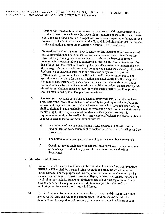- 1**. Residential Construction** new construction and substantial improvement of any residential structure shall have the lowest floor (including basement), elevated to or above the base flood elevation. A registered professional engineer, architect, or land surveyor shall submit a certification to the Floodplain Administrator that the standard of this subsection as proposed in Article 4, Section  $C(1)a$ ., is satisfied.
- 2. **Nonresidential Construction** new construction and substantial improvements of any commercial, industrial or other nonresidential structure shall either have the lowest floor (including basement) elevated to or above the base flood level or together with attendant utility and sanitary facilities, be designed so that below the base flood level the structure is watertight with walls substantially impermeable to the passage of water and with structural components having the capability of resisting hydrostatic and hydrodynamic loads and effects of buoyancy. A registered professional engineer or architect shall develop and/or review structural design, specifications, and plans for the construction, and shall certify that the design and methods of construction are in accordance with accepted standards of practice as outlined in this subsection. A record of such certification which includes the specific elevation (in relation to mean sea level) to which such structures are floodproofed shall be maintained by the Floodplain Administrator.
- 3. **Enclosures** new construction and substantial improvements, with fully enclosed areas below the lowest floor that are usable solely for parking of vehicles, building access or storage in an area other than a basement and which are subject to flooding shall be designed to automatically equalize hydrostatic flood forces on exterior walls by allowing for the entry and exit of floodwaters. Designs for meeting this requirement must either be certified by a registered professional engineer or architect or meet or exceed the following minimum criteria:
	- a) A minimum of two openings having a total net area of not less than one square inch for every square foot of enclosed area subject to flooding shall be provided.
	- b) The bottom of all openings shall be no higher than one foot above grade.
	- c) Openings may be equipped with screens, louvers, valves, or other coverings or devices provided that they permit the automatic entry and exit of floodwaters.

#### 2. **Manufactured Homes -**

- a) Require that all manufactured homes to be placed within Zone A on a community's FHBM or FIRM shall be installed using methods and practices which minimize flood damage. For the purposes of this requirement, manufactured homes must be elevated and anchored to resist flotation, collapse, or lateral movement. Methods of anchoring may include, but are not limited to, use of over-the-top or frame ties to ground anchors. This requirement is in addition to applicable State and local anchoring requirements for resisting wind forces.
- b) Require that manufactured homes that are placed or substantially improved within Zones A1 -30, AH, and AE on the community's FIRM on sites (i) outside of a manufactured home park or subdivision, (ii) in a new manufactured home park or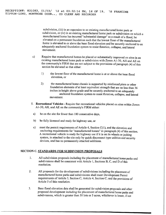subdivision, (iii) in an expansion to an existing manufactured home park or subdivision, or (iv) in an existing manufactured home park or subdivision on which a manufactured home has incurred "substantial damage" as a result of a flood, be elevated on a permanent foundation such that the lowest floor of the manufactured home is elevated to or above the base flood elevation and be securely anchored to an adequately anchored foundation system to resist flotation, collapse, and lateral movement.

- c) Require that manufactured homes be placed or substantially improved on sites in an existing manufactured home park or subdivision with Zones Al-30, AH and AE on the community's FIRM that are not subject to the provisions of paragraph (4) of this section be elevated so that either:
	- 1) the lowest floor of the manufactured home is at or above the base flood elevation, or
	- 2) the manufactured home chassis is supported by reinforced piers or other foundation elements of at least equivalent strength that are no less than 36 inches in height above grade and be securely anchored to an adequately anchored foundation system to resist flotation, collapse, and lateral movement.
- 5. **Recreational Vehicles** Require that recreational vehicles placed on sites within Zones Al-30, AH, and AE on the community's FIRM either:
	- a) be on the site for fewer than 180 consecutive days,
	- b) be fully licensed and ready for highway use, or
	- c) meet the permit requirements of Article 4, Section  $C(1)$ , and the elevation and anchoring requirements for "manufactured homes" in paragraph (4) of this section. A recreational vehicle is ready for highway use if it is on its wheels or jacking system, is attached to the site only by quick disconnect type utilities and security devices, and has no permanently attached additions.

#### **SECTION** C. **STANDARDS FOR SUBDIVISION PROPOSALS**

- 1. All subdivision proposals including the placement of manufactured home parks and subdivisions shall be consistent with Article 1, Sections B, C, and D of this resolution.
- 2. All proposals for the development of subdivisions including the placement of manufactured home parks and subdivisions shall meet Development Permit requirements of Article 3, Section C; Article 4, Section C; and the provisions of Article 5 of this resolution.
- 3. Base flood elevation data shall be generated for subdivision proposals and other proposed development including the placement of manufactured home parks and subdivisions, which is greater than 50 lots or 5 acres, whichever is lesser, if not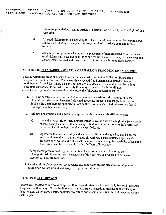otherwise provided pursuant to Article 3, Section B or Article 4, Section B (8) of this resolution.

- $4.$ All subdivision proposals including the placement of manufactured home parks and subdivisions shall have adequate drainage provided to reduce exposure to flood hazards.
- $5<sub>1</sub>$ All subdivision proposals including the placement of manufactured home parks and subdivisions shall have public utilities and facilities such as sewer, gas, electrical and water systems located and constructed to minimize or eliminate flood damage.

## **SECTION D. STANDARDS FOR AREAS OF SHALLOW FLOODING (AO/AH ZONES)**

Located within the areas of special flood hazard established in Article 3, Section B, are areas designated as shallow flooding. These areas have special flood hazards associated with base flood depths of 1 to 3 feet where a clearly defined channel does not exist and where the path of flooding is unpredictable and where velocity flow may be evident. Such flooding is characterized by ponding or sheet flow; therefore, the following provisions apply:

- 1. All new construction and substantial improvements of **residential** structures have the lowest floor (including basement) elevated above the highest adjacent grade at least as high as the depth number specified in feet on the community's FIRM (at least two feet if no depth number is specified).
- 2. All new construction and substantial improvements of **non-residential** structures;
	- a) have the lowest floor (including basement) elevated above the highest adjacent grade at least as high as the depth number specified in feet on the community's FIRM (at least two feet if no depth number is specified), or;
	- b) together with attendant utility and sanitary facilities be designed so that below the base flood level the structure is watertight with walls substantially impermeable to the passage of water and with structural components having the capability of resisting hydrostatic and hydrodynamic loads of effects of buoyancy.
- 3. A registered professional engineer or architect shall submit a certification to the Floodplain Administrator that the standards of this Section, as proposed in Article 4, Section C (1)a., are satisfied.
- 4. Require within Zones AH or AO adequate drainage paths around structures on slopes, to guide flood waters around and away from proposed structures.

#### SECTION E. FLOODWAYS

Floodways - located within areas of special flood hazard established in Article 3, Section B, are areas designated as floodways. Since the floodway is an extremely hazardous area due to the velocity of flood waters which carry debris, potential projectiles and erosion potential, the following provisions shall apply: